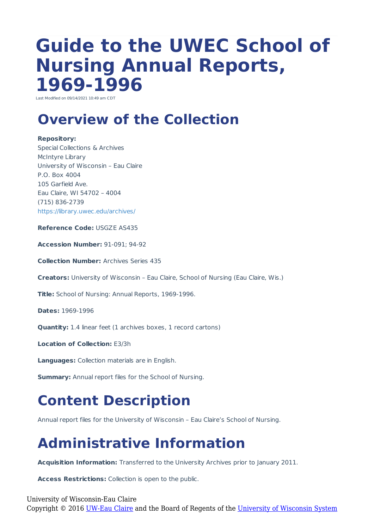# **Guide to the UWEC School of Nursing Annual Reports, 1969-1996**

Last Modified on 09/14/2021 10:49 am CD

### **Overview of the Collection**

#### **Repository:**

Special Collections & Archives McIntyre Library University of Wisconsin – Eau Claire P.O. Box 4004 105 Garfield Ave. Eau Claire, WI 54702 – 4004 (715) 836-2739 https://library.uwec.edu/archives/

**Reference Code:** USGZE AS435

**Accession Number:** 91-091; 94-92

**Collection Number:** Archives Series 435

**Creators:** University of Wisconsin – Eau Claire, School of Nursing (Eau Claire, Wis.)

**Title:** School of Nursing: Annual Reports, 1969-1996.

**Dates:** 1969-1996

**Quantity:** 1.4 linear feet (1 archives boxes, 1 record cartons)

**Location of Collection:** E3/3h

**Languages:** Collection materials are in English.

**Summary:** Annual report files for the School of Nursing.

#### **Content Description**

Annual report files for the University of Wisconsin – Eau Claire's School of Nursing.

## **Administrative Information**

**Acquisition Information:** Transferred to the University Archives prior to January 2011.

**Access Restrictions:** Collection is open to the public.

University of Wisconsin-Eau Claire Copyright © 2016 [UW-Eau Claire](http://www.uwec.edu) and the Board of Regents of the [University of Wisconsin System](http://www.uwsa.edu/)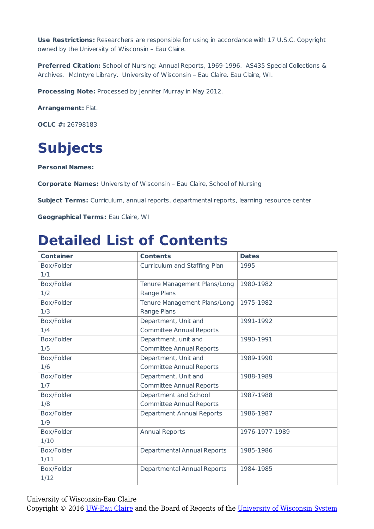**Use Restrictions:** Researchers are responsible for using in accordance with 17 U.S.C. Copyright owned by the University of Wisconsin – Eau Claire.

**Preferred Citation:** School of Nursing: Annual Reports, 1969-1996. AS435 Special Collections & Archives. McIntyre Library. University of Wisconsin – Eau Claire. Eau Claire, WI.

**Processing Note:** Processed by Jennifer Murray in May 2012.

**Arrangement:** Flat.

**OCLC #:** 26798183

#### **Subjects**

**Personal Names:**

**Corporate Names:** University of Wisconsin – Eau Claire, School of Nursing

**Subject Terms:** Curriculum, annual reports, departmental reports, learning resource center

**Geographical Terms:** Eau Claire, WI

#### **Detailed List of Contents**

| <b>Container</b> | <b>Contents</b>                    | <b>Dates</b>   |
|------------------|------------------------------------|----------------|
| Box/Folder       | Curriculum and Staffing Plan       | 1995           |
| 1/1              |                                    |                |
| Box/Folder       | Tenure Management Plans/Long       | 1980-1982      |
| 1/2              | Range Plans                        |                |
| Box/Folder       | Tenure Management Plans/Long       | 1975-1982      |
| 1/3              | Range Plans                        |                |
| Box/Folder       | Department, Unit and               | 1991-1992      |
| 1/4              | <b>Committee Annual Reports</b>    |                |
| Box/Folder       | Department, unit and               | 1990-1991      |
| 1/5              | <b>Committee Annual Reports</b>    |                |
| Box/Folder       | Department, Unit and               | 1989-1990      |
| 1/6              | <b>Committee Annual Reports</b>    |                |
| Box/Folder       | Department, Unit and               | 1988-1989      |
| 1/7              | <b>Committee Annual Reports</b>    |                |
| Box/Folder       | Department and School              | 1987-1988      |
| 1/8              | <b>Committee Annual Reports</b>    |                |
| Box/Folder       | <b>Department Annual Reports</b>   | 1986-1987      |
| 1/9              |                                    |                |
| Box/Folder       | <b>Annual Reports</b>              | 1976-1977-1989 |
| 1/10             |                                    |                |
| Box/Folder       | <b>Departmental Annual Reports</b> | 1985-1986      |
| 1/11             |                                    |                |
| Box/Folder       | Departmental Annual Reports        | 1984-1985      |
| 1/12             |                                    |                |

University of Wisconsin-Eau Claire

Copyright © 2016 [UW-Eau Claire](http://www.uwec.edu) and the Board of Regents of the [University of Wisconsin System](http://www.uwsa.edu/)